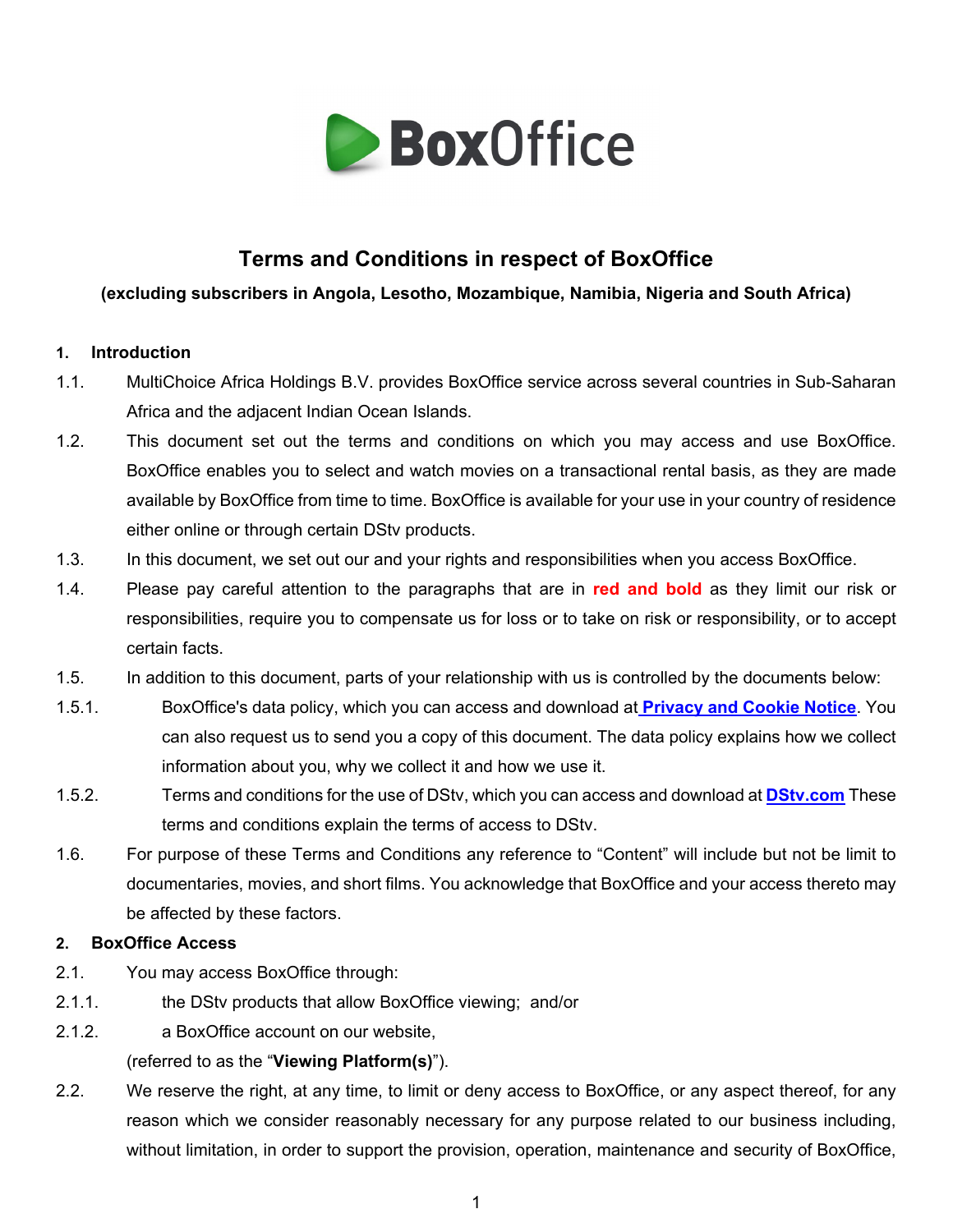

# **Terms and Conditions in respect of BoxOffice**

## **(excluding subscribers in Angola, Lesotho, Mozambique, Namibia, Nigeria and South Africa)**

## **1. Introduction**

- 1.1. MultiChoice Africa Holdings B.V. provides BoxOffice service across several countries in Sub-Saharan Africa and the adjacent Indian Ocean Islands.
- 1.2. This document set out the terms and conditions on which you may access and use BoxOffice. BoxOffice enables you to select and watch movies on a transactional rental basis, as they are made available by BoxOffice from time to time. BoxOffice is available for your use in your country of residence either online or through certain DStv products.
- 1.3. In this document, we set out our and your rights and responsibilities when you access BoxOffice.
- 1.4. Please pay careful attention to the paragraphs that are in **red and bold** as they limit our risk or responsibilities, require you to compensate us for loss or to take on risk or responsibility, or to accept certain facts.
- 1.5. In addition to this document, parts of your relationship with us is controlled by the documents below:
- 1.5.1. BoxOffice's data policy, which you can access and download at **[Privacy and Cookie Notice](https://www.multichoice.com/privacy-cookie-notice/)**. You can also request us to send you a copy of this document. The data policy explains how we collect information about you, why we collect it and how we use it.
- 1.5.2. Terms and conditions for the use of DStv, which you can access and download at **[DStv.com](https://www.dstv.com/)** These terms and conditions explain the terms of access to DStv.
- 1.6. For purpose of these Terms and Conditions any reference to "Content" will include but not be limit to documentaries, movies, and short films. You acknowledge that BoxOffice and your access thereto may be affected by these factors.

## **2. BoxOffice Access**

- 2.1. You may access BoxOffice through:
- 2.1.1. the DStv products that allow BoxOffice viewing; and/or
- 2.1.2. a BoxOffice account on our website,

## (referred to as the "**Viewing Platform(s)**").

2.2. We reserve the right, at any time, to limit or deny access to BoxOffice, or any aspect thereof, for any reason which we consider reasonably necessary for any purpose related to our business including, without limitation, in order to support the provision, operation, maintenance and security of BoxOffice,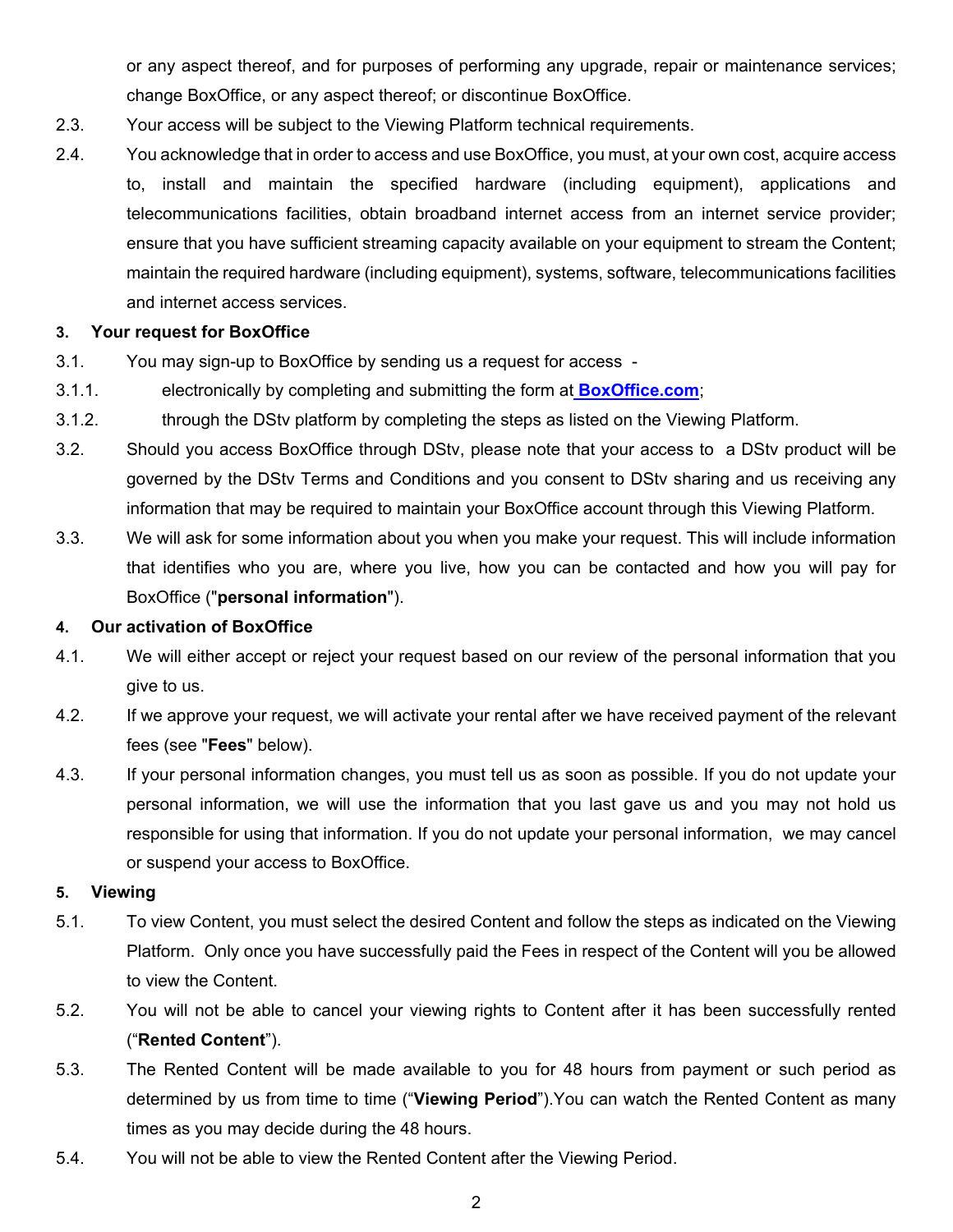or any aspect thereof, and for purposes of performing any upgrade, repair or maintenance services; change BoxOffice, or any aspect thereof; or discontinue BoxOffice.

- 2.3. Your access will be subject to the Viewing Platform technical requirements.
- 2.4. You acknowledge that in order to access and use BoxOffice, you must, at your own cost, acquire access to, install and maintain the specified hardware (including equipment), applications and telecommunications facilities, obtain broadband internet access from an internet service provider; ensure that you have sufficient streaming capacity available on your equipment to stream the Content; maintain the required hardware (including equipment), systems, software, telecommunications facilities and internet access services.

## **3. Your request for BoxOffice**

- 3.1. You may sign-up to BoxOffice by sending us a request for access -
- 3.1.1. electronically by completing and submitting the form at **[BoxOffice.com](https://boxoffice.dstv.com/)**;
- 3.1.2. through the DStv platform by completing the steps as listed on the Viewing Platform.
- 3.2. Should you access BoxOffice through DStv, please note that your access to a DStv product will be governed by the DStv Terms and Conditions and you consent to DStv sharing and us receiving any information that may be required to maintain your BoxOffice account through this Viewing Platform.
- 3.3. We will ask for some information about you when you make your request. This will include information that identifies who you are, where you live, how you can be contacted and how you will pay for BoxOffice ("**personal information**").

## **4. Our activation of BoxOffice**

- 4.1. We will either accept or reject your request based on our review of the personal information that you give to us.
- 4.2. If we approve your request, we will activate your rental after we have received payment of the relevant fees (see "**Fees**" below).
- 4.3. If your personal information changes, you must tell us as soon as possible. If you do not update your personal information, we will use the information that you last gave us and you may not hold us responsible for using that information. If you do not update your personal information, we may cancel or suspend your access to BoxOffice.

## **5. Viewing**

- 5.1. To view Content, you must select the desired Content and follow the steps as indicated on the Viewing Platform. Only once you have successfully paid the Fees in respect of the Content will you be allowed to view the Content.
- 5.2. You will not be able to cancel your viewing rights to Content after it has been successfully rented ("**Rented Content**").
- 5.3. The Rented Content will be made available to you for 48 hours from payment or such period as determined by us from time to time ("**Viewing Period**").You can watch the Rented Content as many times as you may decide during the 48 hours.
- 5.4. You will not be able to view the Rented Content after the Viewing Period.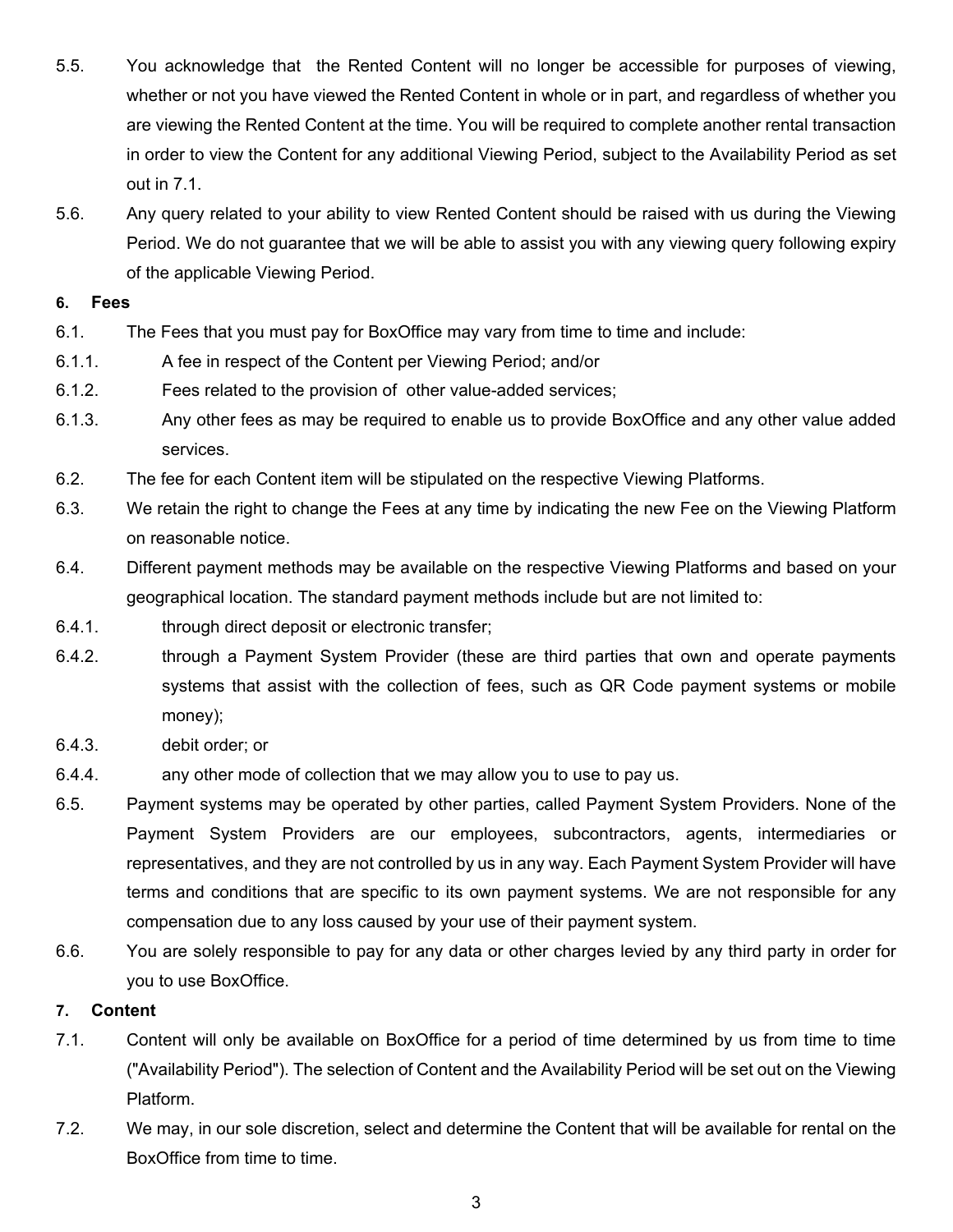- 5.5. You acknowledge that the Rented Content will no longer be accessible for purposes of viewing, whether or not you have viewed the Rented Content in whole or in part, and regardless of whether you are viewing the Rented Content at the time. You will be required to complete another rental transaction in order to view the Content for any additional Viewing Period, subject to the Availability Period as set out in [7.1.](#page-2-0)
- 5.6. Any query related to your ability to view Rented Content should be raised with us during the Viewing Period. We do not guarantee that we will be able to assist you with any viewing query following expiry of the applicable Viewing Period.

#### **6. Fees**

- 6.1. The Fees that you must pay for BoxOffice may vary from time to time and include:
- 6.1.1. A fee in respect of the Content per Viewing Period; and/or
- 6.1.2. Fees related to the provision of other value-added services;
- 6.1.3. Any other fees as may be required to enable us to provide BoxOffice and any other value added services.
- 6.2. The fee for each Content item will be stipulated on the respective Viewing Platforms.
- 6.3. We retain the right to change the Fees at any time by indicating the new Fee on the Viewing Platform on reasonable notice.
- 6.4. Different payment methods may be available on the respective Viewing Platforms and based on your geographical location. The standard payment methods include but are not limited to:
- 6.4.1. through direct deposit or electronic transfer;
- 6.4.2. through a Payment System Provider (these are third parties that own and operate payments systems that assist with the collection of fees, such as QR Code payment systems or mobile money);
- 6.4.3. debit order; or
- 6.4.4. any other mode of collection that we may allow you to use to pay us.
- 6.5. Payment systems may be operated by other parties, called Payment System Providers. None of the Payment System Providers are our employees, subcontractors, agents, intermediaries or representatives, and they are not controlled by us in any way. Each Payment System Provider will have terms and conditions that are specific to its own payment systems. We are not responsible for any compensation due to any loss caused by your use of their payment system.
- 6.6. You are solely responsible to pay for any data or other charges levied by any third party in order for you to use BoxOffice.

## **7. Content**

- <span id="page-2-0"></span>7.1. Content will only be available on BoxOffice for a period of time determined by us from time to time ("Availability Period"). The selection of Content and the Availability Period will be set out on the Viewing Platform.
- 7.2. We may, in our sole discretion, select and determine the Content that will be available for rental on the BoxOffice from time to time.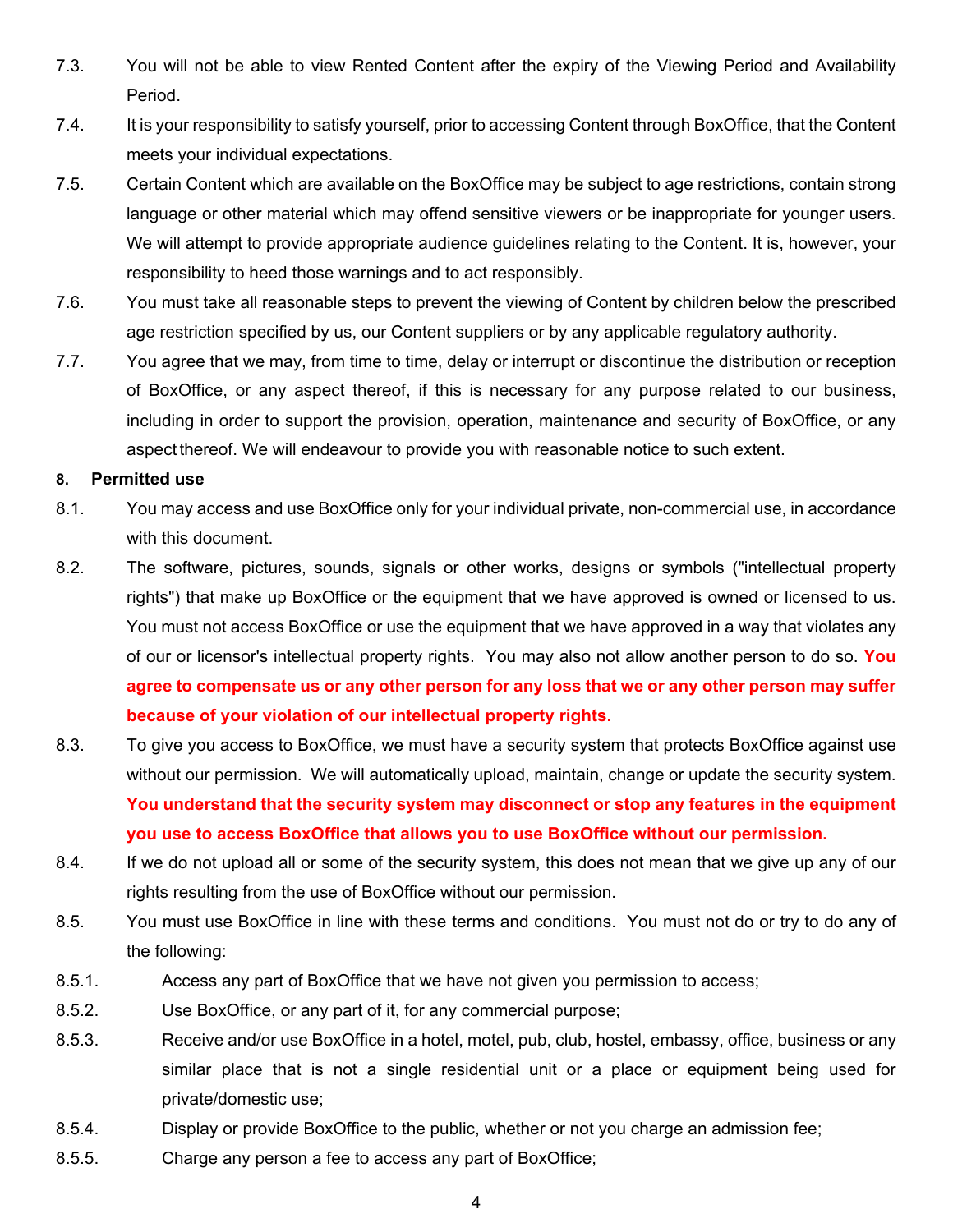- 7.3. You will not be able to view Rented Content after the expiry of the Viewing Period and Availability Period.
- 7.4. It is your responsibility to satisfy yourself, prior to accessing Content through BoxOffice, that the Content meets your individual expectations.
- 7.5. Certain Content which are available on the BoxOffice may be subject to age restrictions, contain strong language or other material which may offend sensitive viewers or be inappropriate for younger users. We will attempt to provide appropriate audience guidelines relating to the Content. It is, however, your responsibility to heed those warnings and to act responsibly.
- 7.6. You must take all reasonable steps to prevent the viewing of Content by children below the prescribed age restriction specified by us, our Content suppliers or by any applicable regulatory authority.
- 7.7. You agree that we may, from time to time, delay or interrupt or discontinue the distribution or reception of BoxOffice, or any aspect thereof, if this is necessary for any purpose related to our business, including in order to support the provision, operation, maintenance and security of BoxOffice, or any aspect thereof. We will endeavour to provide you with reasonable notice to such extent.

#### **8. Permitted use**

- 8.1. You may access and use BoxOffice only for your individual private, non-commercial use, in accordance with this document.
- 8.2. The software, pictures, sounds, signals or other works, designs or symbols ("intellectual property rights") that make up BoxOffice or the equipment that we have approved is owned or licensed to us. You must not access BoxOffice or use the equipment that we have approved in a way that violates any of our or licensor's intellectual property rights. You may also not allow another person to do so. **You agree to compensate us or any other person for any loss that we or any other person may suffer because of your violation of our intellectual property rights.**
- 8.3. To give you access to BoxOffice, we must have a security system that protects BoxOffice against use without our permission. We will automatically upload, maintain, change or update the security system. **You understand that the security system may disconnect or stop any features in the equipment you use to access BoxOffice that allows you to use BoxOffice without our permission.**
- 8.4. If we do not upload all or some of the security system, this does not mean that we give up any of our rights resulting from the use of BoxOffice without our permission.
- 8.5. You must use BoxOffice in line with these terms and conditions. You must not do or try to do any of the following:
- 8.5.1. Access any part of BoxOffice that we have not given you permission to access;
- 8.5.2. Use BoxOffice, or any part of it, for any commercial purpose;
- 8.5.3. Receive and/or use BoxOffice in a hotel, motel, pub, club, hostel, embassy, office, business or any similar place that is not a single residential unit or a place or equipment being used for private/domestic use;
- 8.5.4. Display or provide BoxOffice to the public, whether or not you charge an admission fee;
- 8.5.5. Charge any person a fee to access any part of BoxOffice;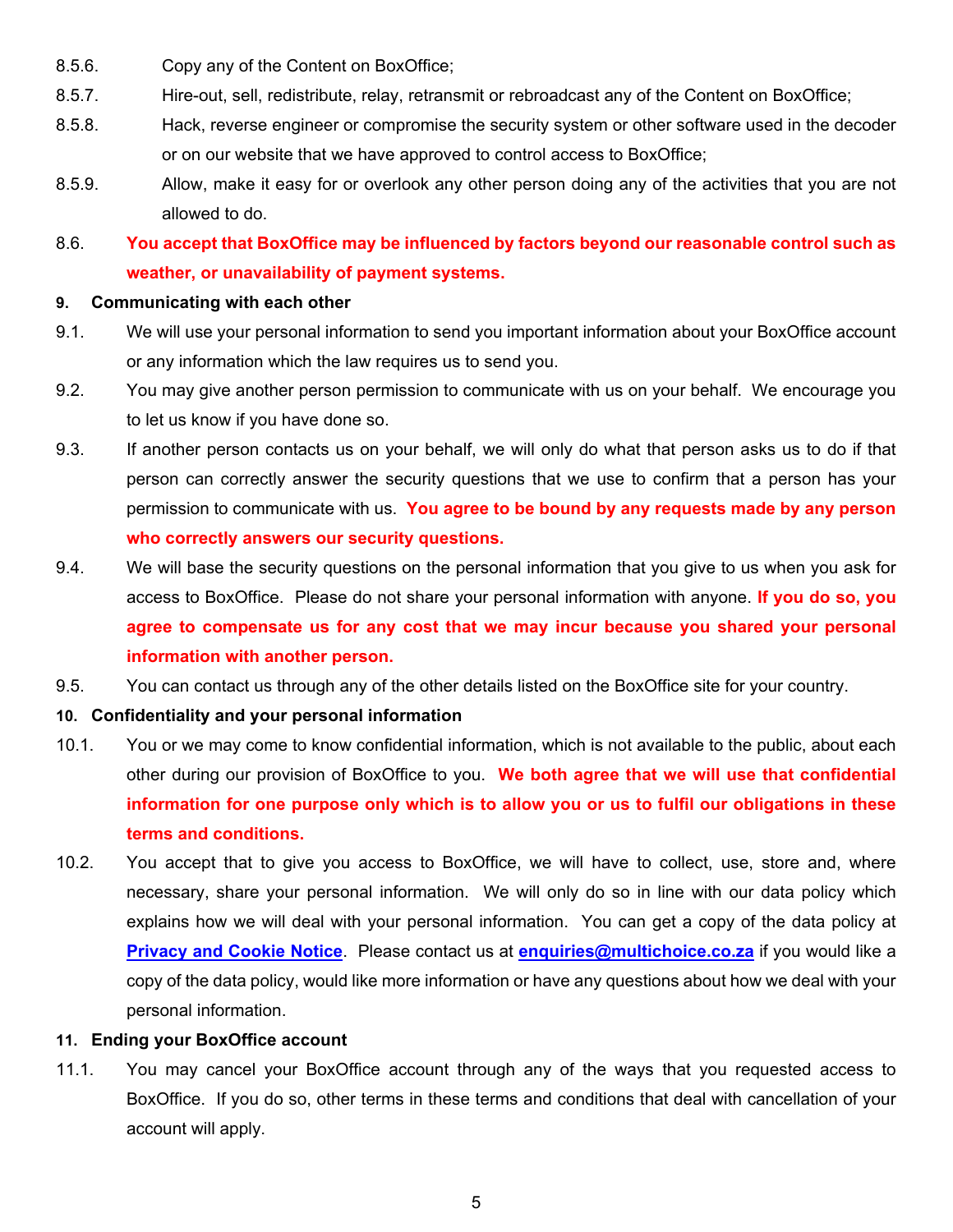- 8.5.6. Copy any of the Content on BoxOffice;
- 8.5.7. Hire-out, sell, redistribute, relay, retransmit or rebroadcast any of the Content on BoxOffice;
- 8.5.8. Hack, reverse engineer or compromise the security system or other software used in the decoder or on our website that we have approved to control access to BoxOffice;
- 8.5.9. Allow, make it easy for or overlook any other person doing any of the activities that you are not allowed to do.

## 8.6. **You accept that BoxOffice may be influenced by factors beyond our reasonable control such as weather, or unavailability of payment systems.**

#### **9. Communicating with each other**

- 9.1. We will use your personal information to send you important information about your BoxOffice account or any information which the law requires us to send you.
- 9.2. You may give another person permission to communicate with us on your behalf. We encourage you to let us know if you have done so.
- 9.3. If another person contacts us on your behalf, we will only do what that person asks us to do if that person can correctly answer the security questions that we use to confirm that a person has your permission to communicate with us. **You agree to be bound by any requests made by any person who correctly answers our security questions.**
- 9.4. We will base the security questions on the personal information that you give to us when you ask for access to BoxOffice. Please do not share your personal information with anyone. **If you do so, you agree to compensate us for any cost that we may incur because you shared your personal information with another person.**
- 9.5. You can contact us through any of the other details listed on the BoxOffice site for your country.

## **10. Confidentiality and your personal information**

- 10.1. You or we may come to know confidential information, which is not available to the public, about each other during our provision of BoxOffice to you. **We both agree that we will use that confidential information for one purpose only which is to allow you or us to fulfil our obligations in these terms and conditions.**
- 10.2. You accept that to give you access to BoxOffice, we will have to collect, use, store and, where necessary, share your personal information. We will only do so in line with our data policy which explains how we will deal with your personal information. You can get a copy of the data policy a[t](https://www.multichoice.com/privacy-cookie-notice/) **[Privacy and Cookie Notice](https://www.multichoice.com/privacy-cookie-notice/)**. Please contact us at **[enquiries@multichoice.co.za](mailto:enquiries@multichoice.co.za)** if you would like a copy of the data policy, would like more information or have any questions about how we deal with your personal information.

## **11. Ending your BoxOffice account**

11.1. You may cancel your BoxOffice account through any of the ways that you requested access to BoxOffice. If you do so, other terms in these terms and conditions that deal with cancellation of your account will apply.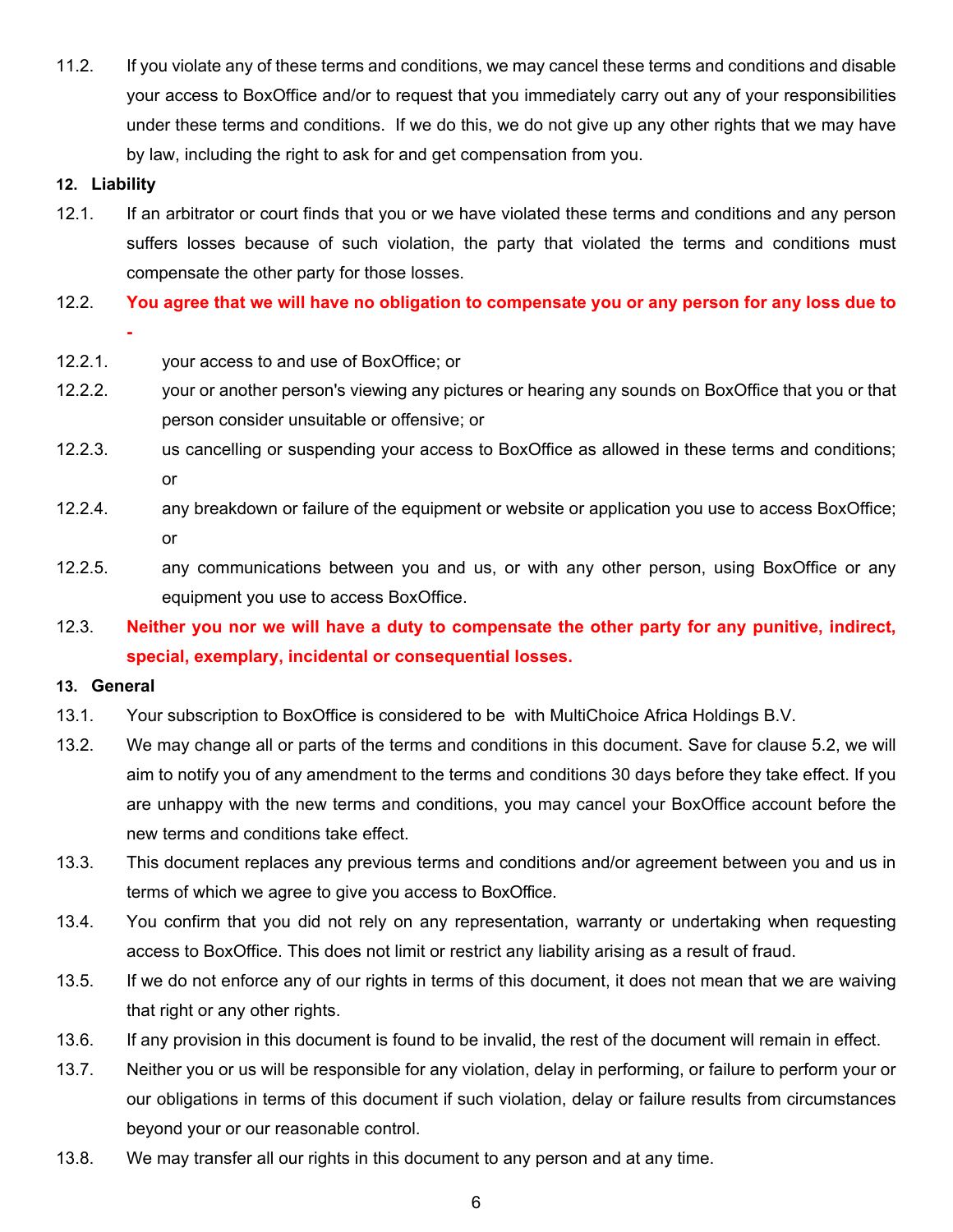11.2. If you violate any of these terms and conditions, we may cancel these terms and conditions and disable your access to BoxOffice and/or to request that you immediately carry out any of your responsibilities under these terms and conditions. If we do this, we do not give up any other rights that we may have by law, including the right to ask for and get compensation from you.

#### **12. Liability**

- 12.1. If an arbitrator or court finds that you or we have violated these terms and conditions and any person suffers losses because of such violation, the party that violated the terms and conditions must compensate the other party for those losses.
- 12.2. **You agree that we will have no obligation to compensate you or any person for any loss due to -**
- 12.2.1. your access to and use of BoxOffice; or
- 12.2.2. your or another person's viewing any pictures or hearing any sounds on BoxOffice that you or that person consider unsuitable or offensive; or
- 12.2.3. us cancelling or suspending your access to BoxOffice as allowed in these terms and conditions; or
- 12.2.4. any breakdown or failure of the equipment or website or application you use to access BoxOffice; or
- 12.2.5. any communications between you and us, or with any other person, using BoxOffice or any equipment you use to access BoxOffice.
- 12.3. **Neither you nor we will have a duty to compensate the other party for any punitive, indirect, special, exemplary, incidental or consequential losses.**

#### **13. General**

- 13.1. Your subscription to BoxOffice is considered to be with MultiChoice Africa Holdings B.V.
- 13.2. We may change all or parts of the terms and conditions in this document. Save for clause 5.2, we will aim to notify you of any amendment to the terms and conditions 30 days before they take effect. If you are unhappy with the new terms and conditions, you may cancel your BoxOffice account before the new terms and conditions take effect.
- 13.3. This document replaces any previous terms and conditions and/or agreement between you and us in terms of which we agree to give you access to BoxOffice.
- 13.4. You confirm that you did not rely on any representation, warranty or undertaking when requesting access to BoxOffice. This does not limit or restrict any liability arising as a result of fraud.
- 13.5. If we do not enforce any of our rights in terms of this document, it does not mean that we are waiving that right or any other rights.
- 13.6. If any provision in this document is found to be invalid, the rest of the document will remain in effect.
- 13.7. Neither you or us will be responsible for any violation, delay in performing, or failure to perform your or our obligations in terms of this document if such violation, delay or failure results from circumstances beyond your or our reasonable control.
- 13.8. We may transfer all our rights in this document to any person and at any time.